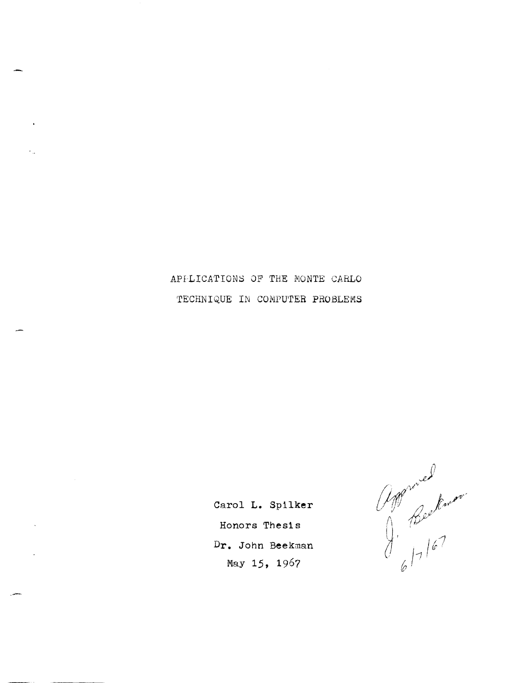APFLICATIONS OF THE NONTE CARLO TECHNIQUE IN COMPUTER PROBLEMS

> **Carol L. Spilker Honors Thesl s Dr. John** Beekman May **15,** 1967

Approved<br>J. Beekwar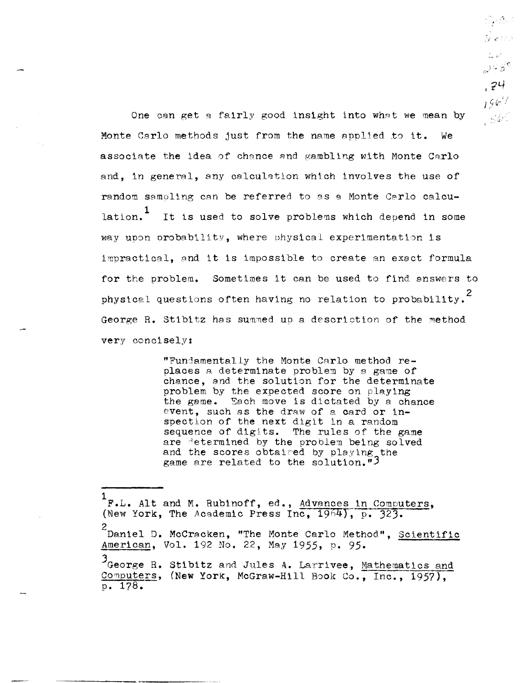One can get a fairly good insight into what we mean by Monte Carlo methods just from the name applied to it. We associate the idea of chance and gambling with Monte Carlo and, in general, any calculation which involves the use of random samoling can be referred to as a Monte Carlo calculation.<sup>1</sup> It is used to solve problems which depend in some way upon orobability, where physical experimentation is impractical, and it is impossible to create an exact formula for the problem. Sometimes it can be used to find answers to physical questions often having no relation to probability.<sup>2</sup> George R. Stibitz has summed up a descriction of the method very concisely:

Syntys 1 :<br>Websi

 $\frac{1}{2\sqrt{2}}\left(\frac{1}{2}\right)^{\frac{1}{2}}$ ್ಷಾಳಕ್

 $, 24$  $1967$ , Sbr

"Funjamentally the Monte CArlo method replaces a determinate problem by a game of chance, and the solution for the determinate problem by the expected score on playing the game. Sach move is dictated by a chance event, such as the draw of a card or inspection of the next digit in a random sequence of digits. The rules of the game are determined by the problem being solved and the scores obtaired by playing the game are related to the solution." $3$ 

1 F.L. Alt and M. Rubinoff, ed., Advances in Computers, (New York, The Academic Press Inc,  $1964$ ), p. 323. 2<br><sup>2</sup> Daniel D. McCracken, "The Monte Carlo Method", <u>Scientific</u> American, Vol. 192 No. 22, May 1955, p. 95. George R. Stibitz and Jules A. Larrivee, Mathematics and Computers, (New York, McGraw-Hill Book Co., Inc., 1957), p. 178.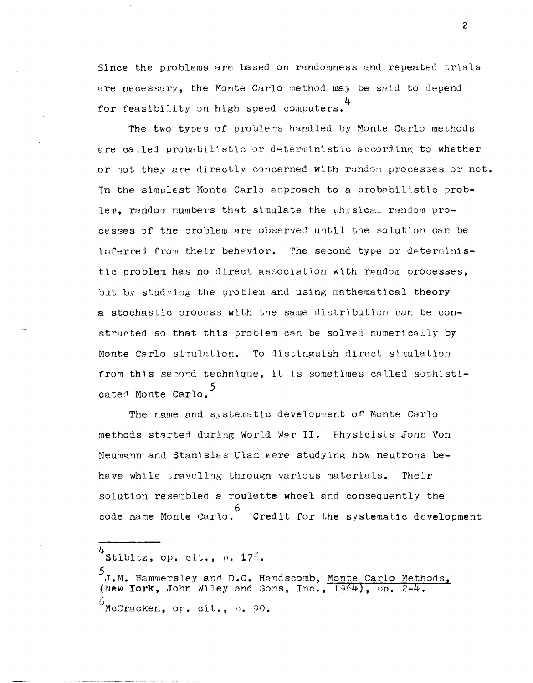Since the problems are based on randomness and repeated trials are necessary, the Monte Carlo method may be said to depend for feasibility on high speed computers.<sup>4</sup>

The two types of problems handled by Monte Carlo methods are called probabilistic or deterministic according to whether or not they are directly concerned with random processes or not. In the simplest Monte Carlo approach to a probabilistic problem, random numbers that simulate the physical random processes of the problem are observed until the solution can be inferred from their behavior. The second type or deterministic problem has no direct association with random processes, but by studying the problem and using mathematical theory a stochastic process with the same distribution can be constructed so that this oroblem can be solved numerically by Monte Carlo simulation. To distinguish direct simulation from this second technique, it is sometimes called sophisticated Monte Carlo.

The name and systematic development of Monte Carlo methods started during World War II. Physicists John Von Neumann and Stanislas Ulam were studying how neutrons behave while traveling through various materials. Their solution resembled a roulette wheel and consequently the code name Monte Carlo. Credit for the systematic development

 $\overline{c}$ 

 $4$ Stibitz, op. cit., p. 176.

J.M. Hammersley and D.C. Handscomb, Monte Carlo Methods, (New York, John Wiley and Sons, Inc., 1964), op. 2-4.  $^6$ McCracken, op. cit., p. 90.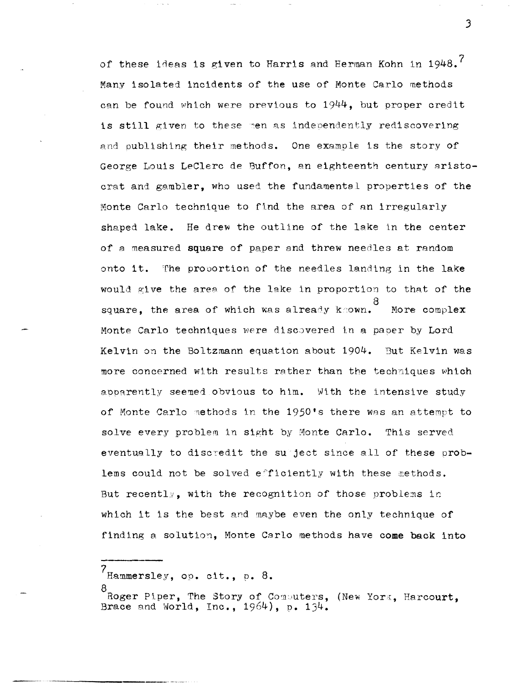of these ideas is given to Harris and Herman Kohn in 1948. $^7$ Many isolated incidents of the use of Monte Carlo methods can be found which were previous to 1944, but proper credit is still given to these men as independently rediscovering and publishing their methods. One examole is the story of George Louis LeClerc de Buffon, an eighteenth century aristocrat and gambler, who used the fundamental properties of the Monte Carlo technique to find the area of an irregularly shaped lake. He drew the outline of the lake in the center of a measured square of paper and threw needles at random onto it. The proportion of the needles landing in the lake would give the area of the lake in proportion to that of the 8 square, the area of whtch was alreac,y k:own. More complex Monte Carlo techniques were discovered in a paper by Lord Kelvin on the Boltzmann equation about  $1904.$  But Kelvin was more concerned with results rather than the techniques which apparently seemed obvious to him. With the intensive study of Monte Carlo methods in the 1950's there was an attempt to solve every problem in sight by Monte Carlo. This served eventually to discredit the subject since all of these problems could not be solved efficiently with these methods. But recently, with the recognition of those problems in which it is the best and maybe even the only technique of finding a solution, Monte Carlo methods have come back into

7<sub>Hammersley, op. cit., p. 8.</sub>

J

<sup>8&</sup>lt;br>Roger Piper, The Story of Computers, (New York, Harcourt, Brace and World, Inc., 1964), p. 134.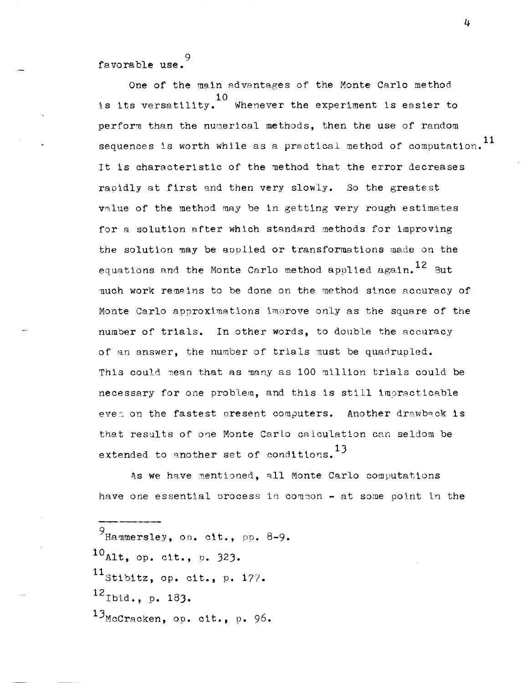9 favorable use.

One of the main advantages of the Monte Carlo method 10 1.S its versatility. Whenever the experiment is easier to perform than the numerical methods, then the use of random sequences is worth while as a practical method of computation.<sup>11</sup> It is characteristic of the method that the error decreases raoidly at first and then very slowly. So the greatest value of the method may be in getting very rough estimates for a solution after which standard methods for improving the solution may be applied or transformations made on the equations and the Monte Carlo method applied again.  $^{12}$  But much work remeins to be done on the method since accuracy of Monte Carlo approximations imnrove only as the square of the number of trials. In other words, to double the accuracy of an answer, the number of trials must be quadrupled. This could nean that as many as 100 million trials could be necessary for one problem, and this is still impracticable evea on the fastest present computers. Another drawback is that results of one Monte Carlo calculation can seldom be extended to another set of conditions.  $13$ 

As we have mentioned, all Monte Carlo computations have one essential process in common  $-$  at some point in the

 $9$ Hammersley, op. cit., pp. 8-9.  $10_{\text{Alt}}$ , op. cit., p. 323.  $11$ Stibitz, op. cit., p. 177.  $^{12}$ Ibid., p. 183. 13McCracken, op. cit., p. 96.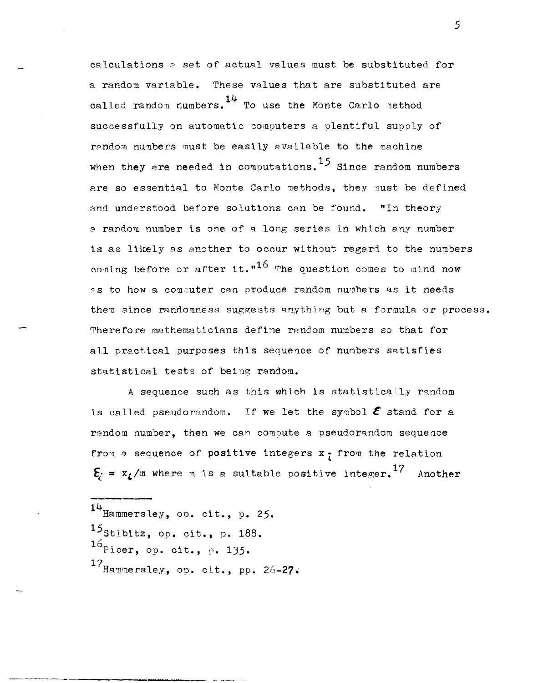calculations a set of actual values must be substituted for a random variable. These values that are substituted are called random numbers.  $14$  To use the Monte Carlo method successfully on automatic computers a plentiful supply of random numbers must be easily available to the machine when they are needed in computations.  $^{15}$  Since random numbers are so essential to Monte Carlo methods, they must be defined and understood before solutions can be found. "In theory a random number is one of a long series in which any number is as likely as another to occur without regard to the numbers coming before or after it."<sup>16</sup> The question comes to mind now as to how a computer can produce random numbers as it needs them since randomness suggests anything but a formula or process. Therefore mathematicians define random numbers so that for all practical purposes this sequence of numbers satisfies statistical tests of being random.

A sequence such as this which is statistically random is called pseudorandom. If we let the symbol  $\epsilon$  stand for a random number, then we can compute a pseudorandom sequence from a sequence of positive integers  $x_f$  from the relation  $\xi = x_L/m$  where m is a suitable positive integer.<sup>17</sup> Another

14 Hammersley, 00. cit., p. 25. Stibitz, op. cit., p. 188. Piper, op. cit., p. 135. Hammersley, op. cit., pp. 26-27.

----------- -----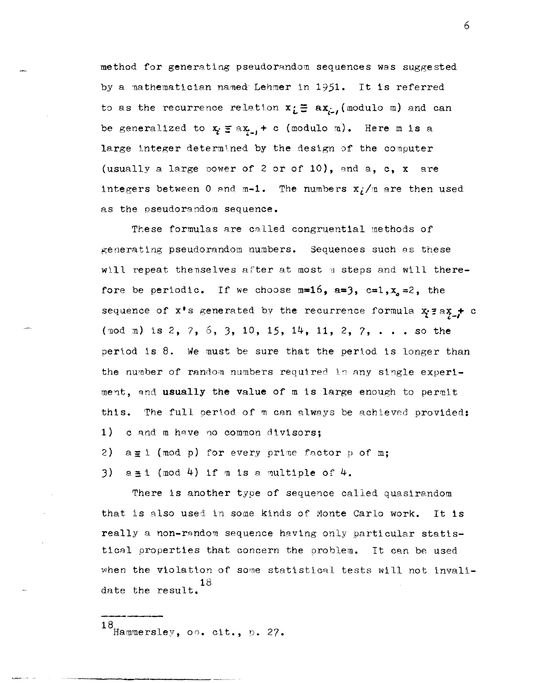method for generating pseudorandom sequences was suggested by a mathematician named Lehmer in 1951. It is referred to as the recurrence relation  $x_i \equiv ax_{i}$  (modulo m) and can be generalized to  $x_i \equiv ax_{i-1} + c$  (modulo m). Here m is a large integer determined by the design of the computer (usually a large power of 2 or of 10), and a, c, x are integers between 0 and m-1. The numbers  $x_i/m$  are then used as the pseudorandom sequence.

These formulas are called congruential methods of generating pseudorandom numbers. Sequences such as these will repeat themselves after at most m steps and will therefore be periodic. If we choose  $m=16$ ,  $a=3$ ,  $c=1$ ,  $x_a=2$ , the sequence of  $x^*s$  generated by the recurrence formula  $x_i^* \equiv a x_i + c$ (nod m) is 2, 7, 6, 3, 10, 15, 14, 11, 2, 7, . . . so the period is 8. We must be sure that the period is longer than the number of random numbers required in any single experiment, and usually the value of m is large enough to permit this. The full period of m can always be achieved provided: 1) c and m have no common divisors;

2)  $a \equiv i \pmod{p}$  for every prime factor p of m;

3)  $a \pm 1$  (mod 4) if  $n$  is a multiple of 4.

There is another type of sequence called quasirandom that is also used in some kinds of Monte Carlo work.  $It$  is really a non-random sequence having only particular statistical properties that concern the problem. It can be used when the violation of some statistical tests will not invalidate the result.

18 Hammersley, oo. cit., p. 27.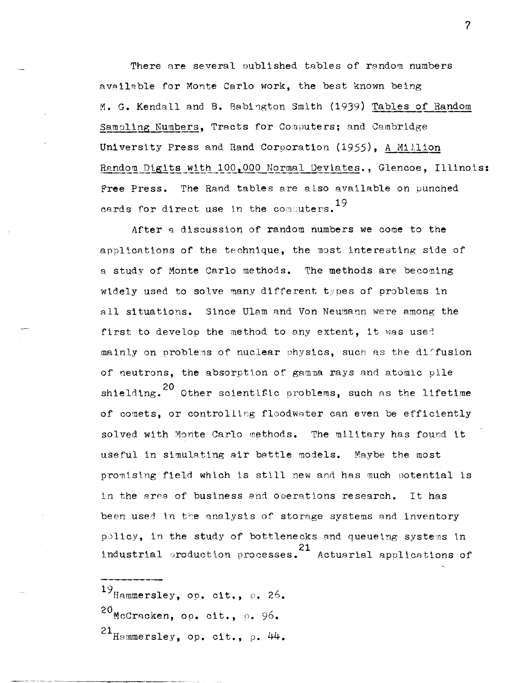There are several oublished tables of rendom numbers available for Monte Carlo work, the best known being M. G. Kendall and B. Babington Smith (1939) Tables of Random Sampling Numbers, Tracts for Computers; and Cambridge University Press and Rand Corporation (1955). A Million Random Digits with 100,000 Normal Deviates., Glencoe, Illinois: Free Press. The Rand tables are also available on punched cards for direct use in the computers.<sup>19</sup>

After a discussion of random numbers we come to the applications of the technique, the most interesting side of a study of Monte Carlo methods. The methods are becoming widely used to solve many different types of problems in all situations. Since Ulam and Von Neumann were among the first to develop the method to any extent, it was used mainly on problems of nuclear physics, such as the diffusion of neutrons, the absorption of gamma rays and atomic pile shielding.<sup>20</sup> Other scientific problems, such as the lifetime of comets, or controlling floodwater can even be efficiently solved with Monte Carlo methods. The military has found it useful in simulating air battle models. Maybe the most promising field which is still new and has much potential is in the area of business and operations research. It has been used in the analysis of storage systems and inventory policy, in the study of bottlenecks and queueing systems in industrial production processes. <sup>21</sup> Actuarial applications of

 $^{19}$ Hammersley, op. cit., p. 26.

 $20$ McCracken, op. cit.,  $96$ .

 $21$ <sub>Hammersley, op. cit.,  $\rho$ . 44.</sub>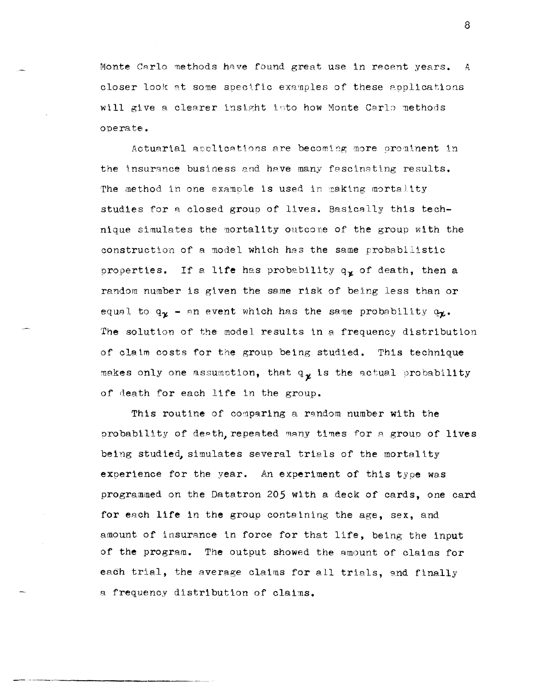Monte Carlo methods have found great use in recent years.  $\mathcal{A}$ closer look at some specific examples of these applications will give a clearer insight into how Monte Carlo methods operate.

Actuarial apolications are becoming more prominent in the insurance business and have many fascinating results. The method in one example is used in making mortality studies for a closed group of lives. Basically this technique simulates the mortality outcome of the group with the construction of a model which has the same probabilistic properties. If a life has probability  $q_{\chi}$  of death, then a random number is given the same risk of being less than or equal to  $q_{\gamma}$  - an event which has the same probability  $q_{\gamma}$ . The solution of the model results in a frequency distribution of claim costs for the group being studied. This technique makes only one assumption, that  $q_{\chi}$  is the actual probability of death for each life in the group.

This routine of comparing a random number with the probability of death, repeated many times for a group of lives being studied, simulates several trials of the mortality experience for the year. An experiment of this type was programmed on the Datatron 205 with a deck of cards, one card for each life in the group containing the age, sex, and amount of insurance in force for that life, being the input of the program. The output showed the amount of claims for each trial, the average claims for all trials, and finally a frequency distribution of claims.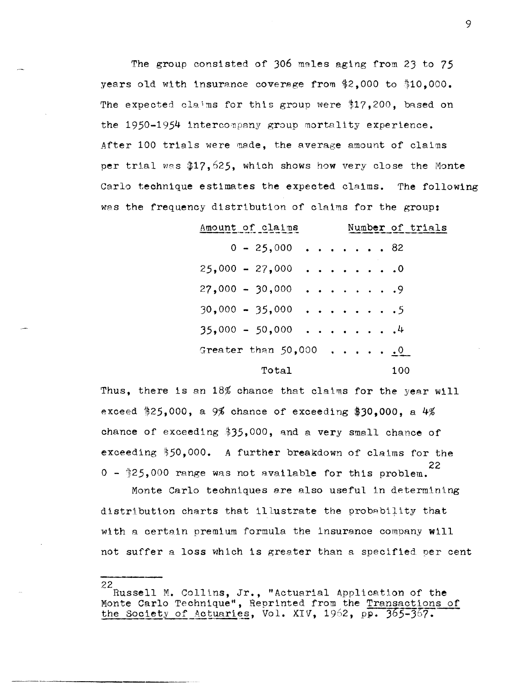The group consisted of 306 males aging from 23 to 75 years old with insurance coverage from \$2.000 to \$10.000. The expected claims for this group were \$17,200, based on the 1950-1954 intercompany group mortality experience. After 100 trials were made, the average amount of claims per trial was \$17,525, which shows how very close the Monte Carlo technique estimates the expected claims. The following was the frequency distribution of claims for the group:

| Amount of claims        |  |  |  |     | Number of trials |
|-------------------------|--|--|--|-----|------------------|
| $0 - 25,000$ 82         |  |  |  |     |                  |
| $25,000 - 27,000$ 0     |  |  |  |     |                  |
| $27,000 - 30,000$ 9     |  |  |  |     |                  |
| $30.000 - 35.000$ 5     |  |  |  |     |                  |
| $35,000 - 50,000$ 4     |  |  |  |     |                  |
| Greater than $50,000$ 0 |  |  |  |     |                  |
| Total                   |  |  |  | 100 |                  |

Thus, there is an 18% chance that claims for the year will exceed \$25,000, a 9% chance of exceeding \$30.000. a  $4\%$ chance of exceeding \$35,000, and a very small chance of exceeding \$50,000. A further breakdown of claims for the 22  $0 - 325,000$  range was not available for this problem.

Monte Carlo techniques are also useful in determining distribution charts that illustrate the probability that with a certain premium formula the insurance company will not suffer a loss which is greater than a specified per cent

<sup>22</sup> Russell M. Collins, Jr., "Actuarial Application of the Monte Carlo Technique", Reprinted from the Transactions of the Society of Actuaries, Vol. XIV, 1962, pp. 365-367.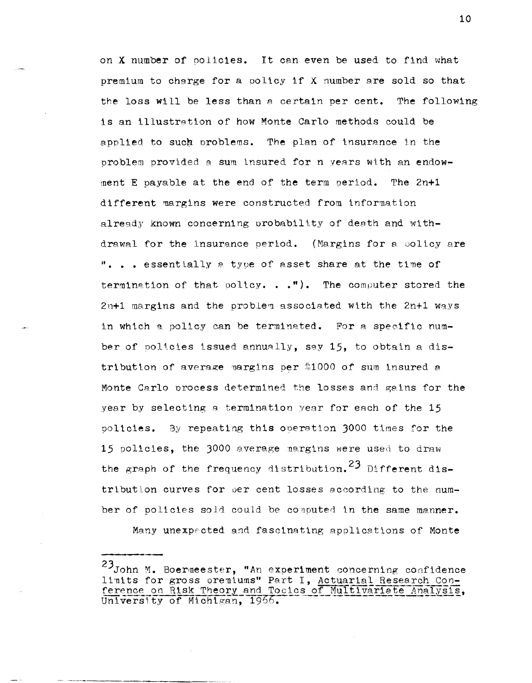on X number of colicies. It can even be used to find what premium to charge for a policy if X number are sold so that the loss will be less than a certain per cent. The following is an illustration of how Monte Carlo methods could be applied to such problems. The plan of insurance in the problem provided a sum insured for n years with an endowment E payable at the end of the term period. The 2n+1 different margins were constructed from information already known concerning probability of death and withdrawal for the insurance period. (Margins for a policy are ". . . essentially a type of asset share at the time of termination of that policy. . . "). The computer stored the 2n+1 margins and the problem associated with the 2n+1 ways in which a policy can be terminated. For a specific number of policies issued annually, say 15, to obtain a distribution of average pargins per \$1000 of sum insured a Monte Carlo process determined the losses and gains for the year by selecting a termination year for each of the 15 policies. By repeating this operation 3000 times for the 15 policies, the 3000 average margins were used to draw the graph of the frequency distribution.<sup>23</sup> Different distribution curves for per cent losses according to the number of policies sold could be computed in the same manner.

Many unexpected and fascinating applications of Monte

<sup>23</sup> John M. Boermeester, "An experiment concerning confidence limits for gross oremiums" Part I, Actuarial Research Con-<br>ference on Risk Theory and Tocics of Multivariate Analysis, University of Michigan, 1966.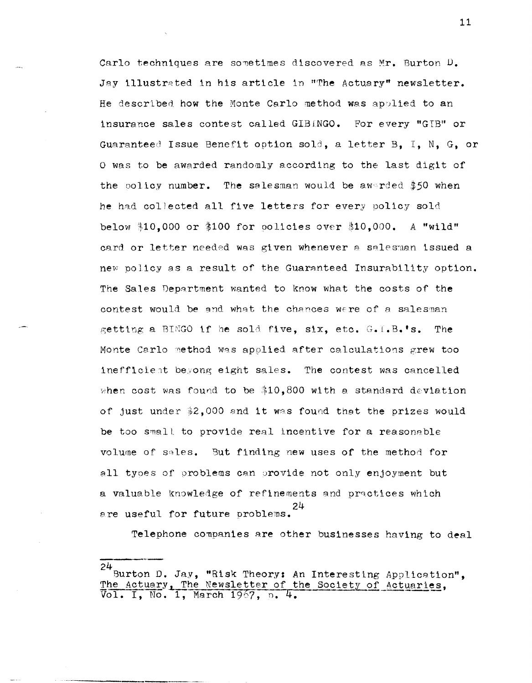Carlo techniques are sometimes discovered as Mr. Burton D. Jay illustrated in his article in "The Actuary" newsletter. He described how the Monte Carlo method was applied to an insurance sales contest called GIBINGO. For every "GIB" or Guaranteed Issue Benefit option sold, a letter B. I. N. G. or O was to be awarded randomly according to the last digit of the policy number. The salesman would be awerded  $$50$  when he had collected all five letters for every policy sold below \$10.000 or \$100 for policies over \$10.000. A "wild" card or letter needed was given whenever a salesman issued a new policy as a result of the Guaranteed Insurability option. The Sales Department wanted to know what the costs of the contest would be and what the chances were of a salesman getting a BINGO if he sold five, six, etc. G.I.B.'s. **The** Monte Carlo method was applied after calculations grew too inefficient beyong eight sales. The contest was cancelled when cost was found to be \$10,800 with a standard deviation of just under \$2,000 and it was found that the prizes would be too small to provide real incentive for a reasonable volume of sales. But finding new uses of the method for all types of problems can provide not only enjoyment but a valuable knowledge of refinements and practices which are useful for future problems.

Telephone companies are other businesses having to deal

 $24$  Burton D. Jay, "Risk Theory: An Interesting Application", The Actuary, The Newsletter of the Society of Actuaries,<br>Vol. I, No. 1, March 1967, p. 4.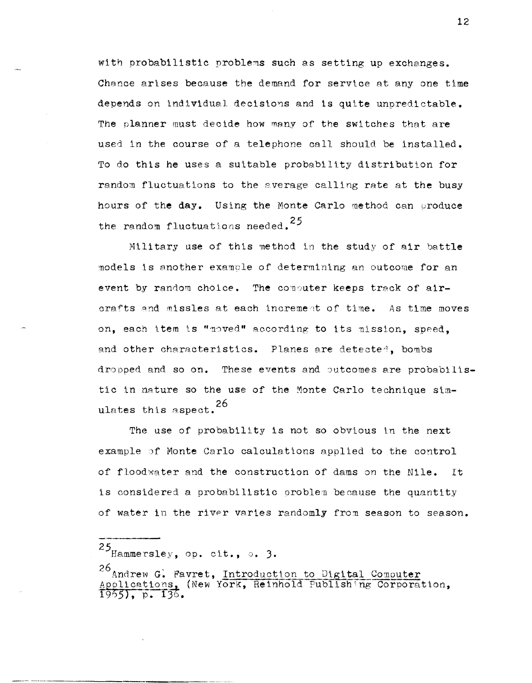with probabilistic problems such as setting up exchanges. Chance arises because the demand for service at any one time depends on individual decisions and is quite unpredictable. The planner must decide how many of the switches that are used in the course of a telephone call should be installed. To do this he uses a suitable probability distribution for random fluctuations to the average calling rate at the busy hours of the day. Using the Monte Carlo method can produce the random fluctuations needed.<sup>25</sup>

Military use of this method in the study of air battle models is another example of determining an outcome for an event by random choice. The computer keeps track of aircrafts and missles at each increment of time. As time moves on, each item is "noved" according to its mission, speed. and other characteristics. Planes are detected, bombs dropped and so on. These events and outcomes are probabilistic in nature so the use of the Monte Carlo technique simulates this aspect.<sup>26</sup>

The use of probability is not so obvious in the next example of Monte Carlo calculations applied to the control of floodwater and the construction of dams on the Nile. It is considered a probabilistic oroblem because the quantity of water in the river varies randomly from season to season.

 $25$  Hammersley, op. cit., o. 3.

<sup>26</sup> Andrew G. Favret, Introduction to Digital Computer Applications, (New York, Reinhold Publishing Corporation, 1965), p. 136.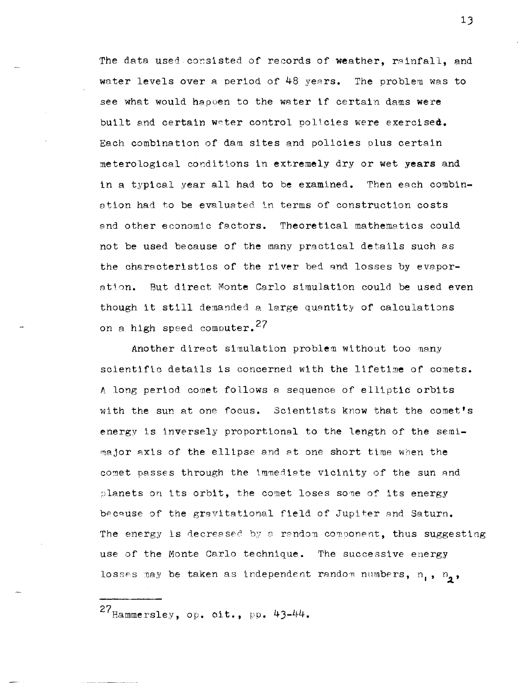The data used consisted of records of weather, rainfall, and water levels over a period of 48 years. The problem was to see what would happen to the water if certain dams were built and certain water control policies were exercised. Each combination of dam sites and policies plus certain meterological conditions in extremely dry or wet years and in a typical year all had to be examined. Then each combination had to be evaluated in terms of construction costs and other economic factors. Theoretical mathematics could not be used because of the many practical details such as the characteristics of the river bed and losses by evapor-But direct Monte Carlo simulation could be used even ation. though it still demanded a large quantity of calculations on a high speed computer.<sup>27</sup>

Another direct simulation problem without too many scientific details is concerned with the lifetime of comets. A long period comet follows a sequence of elliptic orbits with the sun at one focus. Scientists know that the comet's energy is inversely proportional to the length of the semimajor axis of the ellipse and at one short time when the comet passes through the immediate vicinity of the sun and planets on its orbit, the comet loses some of its energy because of the gravitational field of Jupiter and Saturn. The energy is decreased by a random component, thus suggesting use of the Monte Carlo technique. The successive energy losses may be taken as independent random numbers,  $n_1$ ,  $n_2$ ,

 $27$  Hammersley, op. cit., pp. 43-44.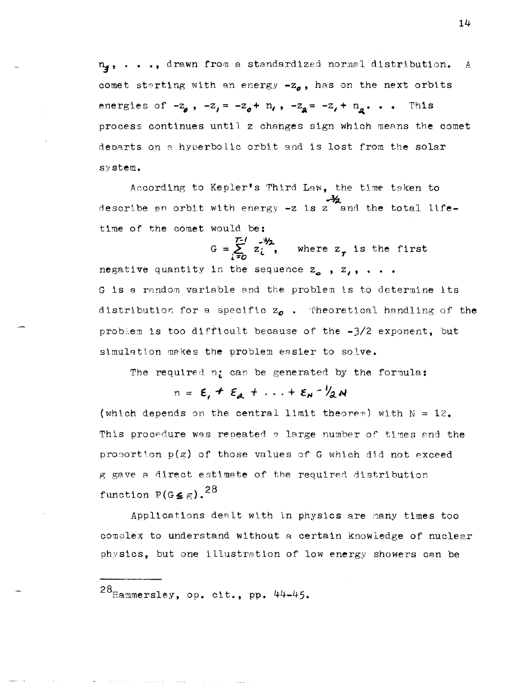n, ..., drawn from a standardized normal distribution. - A comet starting with an energy  $-z<sub>o</sub>$ , has on the next orbits energies of  $-z_0$ ,  $-z_1 = -z_0 + n_1$ ,  $-z_2 = -z_1 + n_2$ ... This process continues until z changes sign which means the comet departs on a hyperbolic orbit and is lost from the solar system.

According to Kepler's Third Law, the time taken to describe an orbit with energy  $-z$  is  $z$  and the total lifetime of the comet would be:

 $G = \sum_{i=n}^{T-1} z_i^{3/2}$ , where  $z_T$  is the first negative quantity in the sequence  $z_{o}$ ,  $z_{i}$ , ... G is a random variable and the problem is to determine its distribution for a specific  $z_{o}$ . Theoretical handling of the problem is too difficult because of the -3/2 exponent, but simulation makes the problem easier to solve.

The required n; can be generated by the formula:

 $n = \varepsilon_{1} + \varepsilon_{2} + ... + \varepsilon_{N} - \frac{1}{2}N$ 

(which depends on the central limit theorem) with  $N = 12$ . This procedure was repeated a large number of times and the proportion  $p(g)$  of those values of G which did not exceed g gave a direct estimate of the required distribution function  $P(G \leq \kappa)$ .<sup>28</sup>

Applications dealt with in physics are many times too complex to understand without a certain knowledge of nuclear physics, but one illustration of low energy showers can be

 $28$ Hammersley, op. cit., pp. 44-45.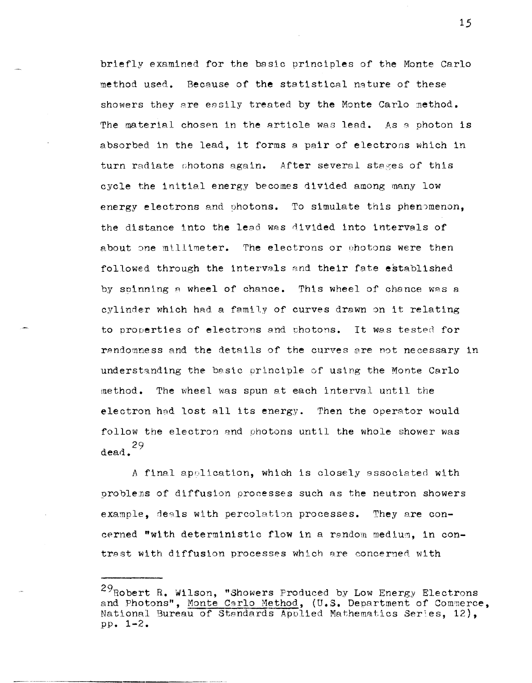briefly examined for the basic principles of the Monte Carlo method used. Because of the statistical nature of these showers they are easily treated by the Monte Carlo method. The material chosen in the article was lead. As a photon is absorbed in the lead, it forms a pair of electrons which in turn radiate photons again. After several stages of this cycle the initial energy becomes divided among many low energy electrons and photons. To simulate this phenomenon, the distance into the lead was divided into intervals of about one millimeter. The electrons or photons were then followed through the intervals and their fate established by spinning a wheel of chance. This wheel of chance was a cylinder which had a family of curves drawn on it relating to properties of electrons and photons. It was tested for randomness and the details of the curves are not necessary in understanding the basic principle of using the Monte Carlo method. The wheel was spun at each interval until the electron had lost all its energy. Then the operator would follow the electron and photons until the whole shower was  $dead.$ <sup>29</sup>

A final application, which is closely associated with problems of diffusion processes such as the neutron showers example, deals with percolation processes. They are concerned "with deterministic flow in a random medium, in contrest with diffusion processes which are concerned with

<sup>&</sup>lt;sup>29</sup>Robert R. Wilson, "Showers Produced by Low Energy Electrons and Photons", Monte Carlo Method, (U.S. Department of Commerce, National Bureau of Standards Applied Mathematics Series. 12).  $pp. 1-2.$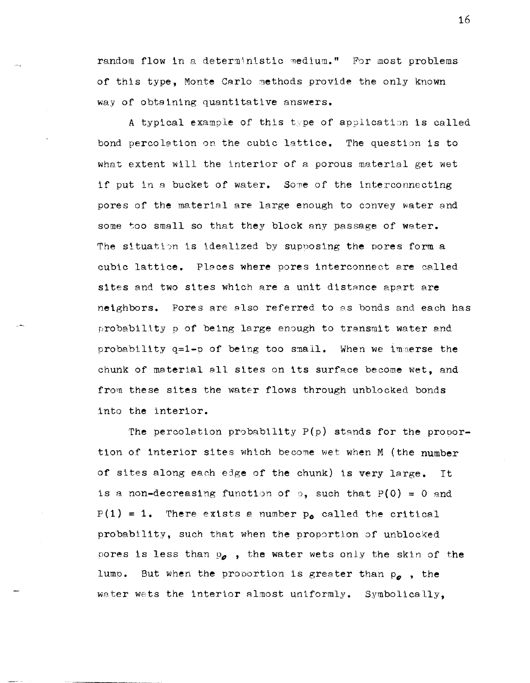random flow in a deterministic medium." For most problems of this type, Monte Carlo methods provide the only known way of obtaining quantitative answers.

A typical example of this type of application is called bond percolation on the cubic lattice. The question is to what extent will the interior of a porous material get wet if put in a bucket of water. Some of the interconnecting pores of the material are large enough to convey water and some too small so that they block any passage of water. The situation is idealized by supposing the pores form a cubic lattice. Places where pores interconnect are called sites and two sites which are a unit distance apart are neighbors. Pores are also referred to as bonds and each has probability p of being large enough to transmit water and probability  $q=1-p$  of being too small. When we immerse the chunk of material all sites on its surface become wet, and from these sites the water flows through unblocked bonds into the interior.

The percolation probability  $P(p)$  stands for the proportion of interior sites which become wet when M (the number of sites along each edge of the chunk) is very large. It is a non-decreasing function of p, such that  $P(0) = 0$  and  $P(1) = 1$ . There exists a number  $p_{o}$  called the critical probability, such that when the proportion of unblocked pores is less than  $p_{\rho}$ , the water wets only the skin of the lump. But when the proportion is greater than  $p_a$ , the water wets the interior almost uniformly. Symbolically,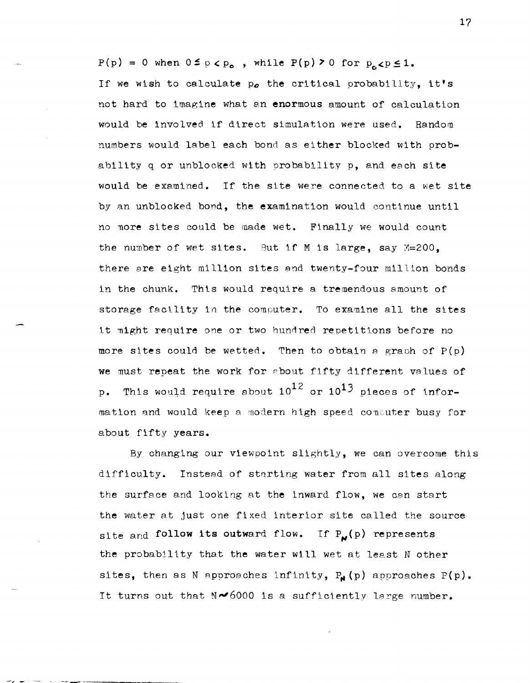$P(p) = 0$  when  $0 \le p < p_0$ , while  $P(p) \ge 0$  for  $p_0 < p \le 1$ . If we wish to calculate  $p_{o}$  the critical probability, it's not hard to imagine what an enormous amount of calculation would be involved if direct simulation were used. Random numbers would label each bond as either blocked with probability q or unblocked with probability p, and each site would be examined. If the site were connected to a wet site by an unblocked bond, the examination would continue until no more sites could be made wet. Finally we would count the number of wet sites. But if M is large, say  $M=200$ , there ere eight million sites and twenty-four million bonds in the chunk. This would require a tremendous amount of storage facility in the computer. To examine all the sites it might require one or two hundred repetittons before no more sites could be wetted. Then to obtain a graph of  $P(p)$ we must repeat the work for sbout fifty different values of p. This would require about  $10^{12}$  or  $10^{13}$  pieces of information and would keep a modern high speed consuter busy for about fifty years.

By changing our viewpoint slightly, we can overcome this difficulty. Instead of starting water from all sites along the surface and looking at the inward flow, we can start the water at just one fixed interior site called the source site and follow its outward flow. If  $P_{\mathbf{N}}(p)$  represents the probability that the water will wet at least N other sites, then as N approaches infinity,  $P_M(p)$  approaches  $P(p)$ . It turns out that  $N\blacktriangleright 6000$  is a sufficiently large number.

*-r* \_ - - ---\_....,.- ----\_\_\_\_\_\_\_ \_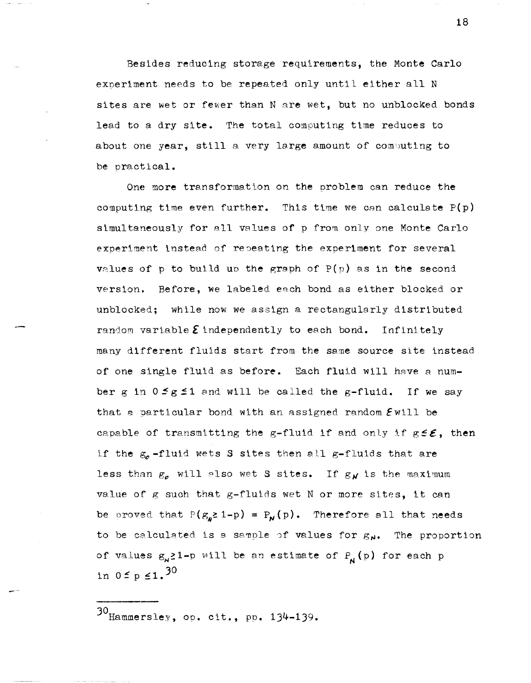Besides reducing storage requirements, the Monte Carlo eXoeriment needs to be repeated only until either all N sites are wet or fewer than N are wet, but no unblocked bonds lead to a dry site. The total computing time reduces to about one year, still a very large amount of computing to be practical.

One more transformation on the oroblem can reduce the computing time even further. This time we can calculate  $P(p)$ simultaneously for all values of p from only one Monte Carlo experiment instead of repeating the experiment for several values of p to build up the graph of  $P(p)$  as in the second version. Before, we labeled each bond as either blocked or unblocked; while now we assign a rectangularly distributed random variable  $\boldsymbol{\Sigma}$  independently to each bond. Infinitely many different fluids start from the same source site instead of one single fluid as before. Each fluid will have a number g in  $0 \le g \le 1$  and will be called the g-fluid. If we say that a particular bond with an assigned random  $\mathcal E$  will be capable of transmitting the g-fluid if and only if  $g \leq \varepsilon$ , then if the  $g_{\rho}$ -fluid wets S sites then all g-fluids that are less than  $g_{\rho}$  will also wet S sites. If  $g_N$  is the maximum value of g such that  $g$ -fluids wet N or more sites, it can be proved that  $P(g_{n} \geq 1-p) = P_{N}(p)$ . Therefore all that needs to be calculated is a sample of values for  $g_N$ . The proportion of values  $g_{N}$  = 1-p will be an estimate of P<sub>N</sub>(p) for each p in  $0 \le p \le 1.30$ 

30 Hammersley, op. cit., pp. 134-139.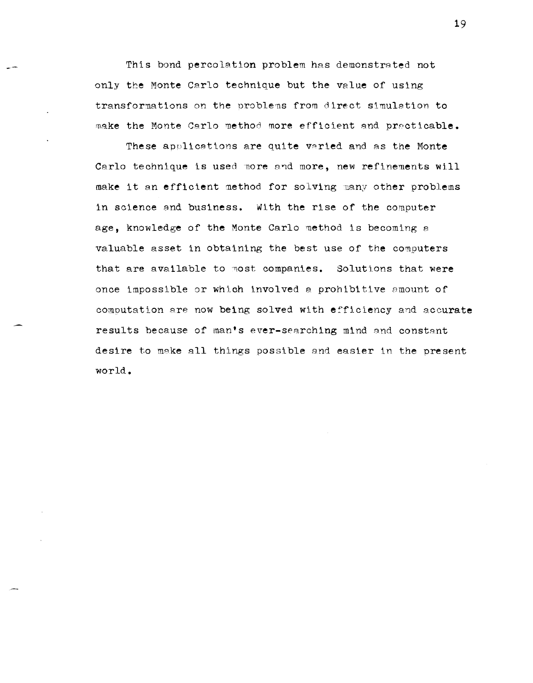This bond percolation problem has demonstrated not only the Monte Carlo technique but the value of using transformations on the problems from direct simulation to make the Monte Carlo method more efficient and practicable.

These applications are quite varied and as the Monte Carlo technique is used more and more, new refinements will make it an efficient method for solving many other problems in science and business. With the rise of the computer age, knowledge of the Monte Carlo method is becoming a valuable asset in obtaining the best use of the computers that are available to most companies. Solutions that were once impossible or which involved a prohibitive amount of computation are now being solved with efficiency and accurate results because of man's ever-searching mind and constant desire to make all things possible and easier in the present world.